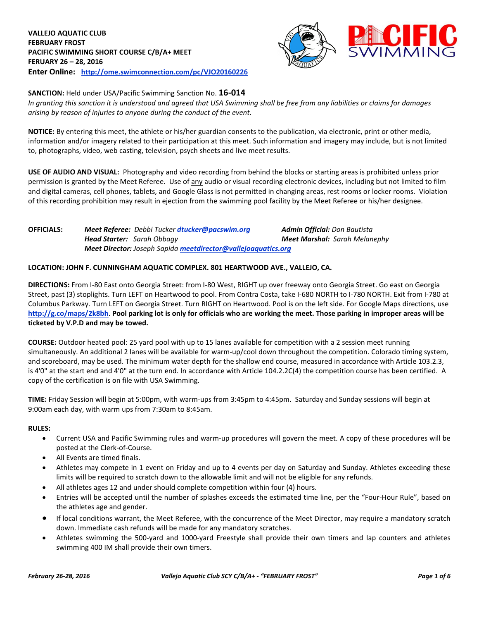

**SANCTION:** Held under USA/Pacific Swimming Sanction No. **16-014** In granting this sanction it is understood and agreed that USA Swimming shall be free from any liabilities or claims for damages *arising by reason of injuries to anyone during the conduct of the event.*

**NOTICE:** By entering this meet, the athlete or his/her guardian consents to the publication, via electronic, print or other media, information and/or imagery related to their participation at this meet. Such information and imagery may include, but is not limited to, photographs, video, web casting, television, psych sheets and live meet results.

**USE OF AUDIO AND VISUAL:** Photography and video recording from behind the blocks or starting areas is prohibited unless prior permission is granted by the Meet Referee. Use of any audio or visual recording electronic devices, including but not limited to film and digital cameras, cell phones, tablets, and Google Glass is not permitted in changing areas, rest rooms or locker rooms. Violation of this recording prohibition may result in ejection from the swimming pool facility by the Meet Referee or his/her designee.

**OFFICIALS:** *Meet Referee: Debbi Tucker [dtucker@pacswim.org](mailto:dtucker@pacswim.org) Admin Official: Don Bautista Head Starter: Sarah Obbagy Meet Marshal: Sarah Melanephy Meet Director: Joseph Sapida [meetdirector@vallejoaquatics.org](mailto:meetdirector@vallejoaquatics.org)*

## **LOCATION: JOHN F. CUNNINGHAM AQUATIC COMPLEX. 801 HEARTWOOD AVE., VALLEJO, CA.**

**DIRECTIONS:** From I-80 East onto Georgia Street: from I-80 West, RIGHT up over freeway onto Georgia Street. Go east on Georgia Street, past (3) stoplights. Turn LEFT on Heartwood to pool. From Contra Costa, take I-680 NORTH to I-780 NORTH. Exit from I-780 at Columbus Parkway. Turn LEFT on Georgia Street. Turn RIGHT on Heartwood. Pool is on the left side. For Google Maps directions, use <http://g.co/maps/2k8bh>. Pool parking lot is only for officials who are working the meet. Those parking in improper areas will be **ticketed by V.P.D and may be towed.**

**COURSE:** Outdoor heated pool: 25 yard pool with up to 15 lanes available for competition with a 2 session meet running simultaneously. An additional 2 lanes will be available for warm-up/cool down throughout the competition. Colorado timing system, and scoreboard, may be used. The minimum water depth for the shallow end course, measured in accordance with Article 103.2.3, is 4'0" at the start end and 4'0" at the turn end. In accordance with Article 104.2.2C(4) the competition course has been certified. A copy of the certification is on file with USA Swimming.

**TIME:** Friday Session will begin at 5:00pm, with warm-ups from 3:45pm to 4:45pm. Saturday and Sunday sessions will begin at 9:00am each day, with warm ups from 7:30am to 8:45am.

#### **RULES:**

- Current USA and Pacific Swimming rules and warm-up procedures will govern the meet. A copy of these procedures will be posted at the Clerk-of-Course.
- All Events are timed finals.
- Athletes may compete in 1 event on Friday and up to 4 events per day on Saturday and Sunday. Athletes exceeding these limits will be required to scratch down to the allowable limit and will not be eligible for any refunds.
- All athletes ages 12 and under should complete competition within four (4) hours.
- Entries will be accepted until the number of splashes exceeds the estimated time line, per the "Four-Hour Rule", based on the athletes age and gender.
- If local conditions warrant, the Meet Referee, with the concurrence of the Meet Director, may require a mandatory scratch down. Immediate cash refunds will be made for any mandatory scratches.
- Athletes swimming the 500-yard and 1000-yard Freestyle shall provide their own timers and lap counters and athletes swimming 400 IM shall provide their own timers.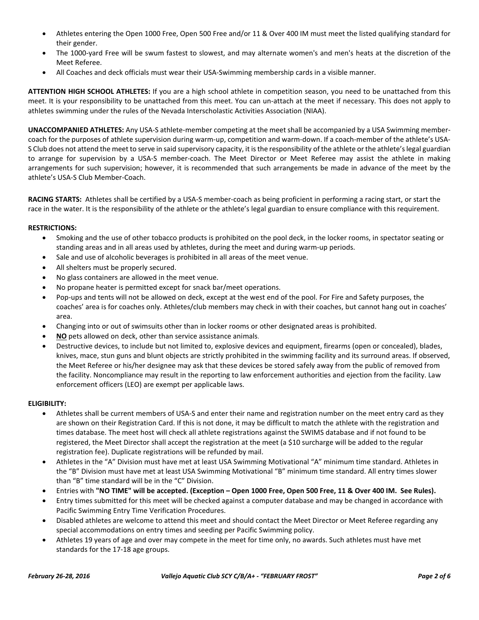- Athletes entering the Open 1000 Free, Open 500 Free and/or 11 & Over 400 IM must meet the listed qualifying standard for their gender.
- The 1000-yard Free will be swum fastest to slowest, and may alternate women's and men's heats at the discretion of the Meet Referee.
- All Coaches and deck officials must wear their USA-Swimming membership cards in a visible manner.

**ATTENTION HIGH SCHOOL ATHLETES:** If you are a high school athlete in competition season, you need to be unattached from this meet. It is your responsibility to be unattached from this meet. You can un-attach at the meet if necessary. This does not apply to athletes swimming under the rules of the Nevada Interscholastic Activities Association (NIAA).

**UNACCOMPANIED ATHLETES:** Any USA-S athlete-member competing at the meet shall be accompanied by a USA Swimming membercoach for the purposes of athlete supervision during warm-up, competition and warm-down. If a coach-member of the athlete's USA-S Club does not attend the meet to serve in said supervisory capacity, it is the responsibility of the athlete or the athlete's legal guardian to arrange for supervision by a USA-S member-coach. The Meet Director or Meet Referee may assist the athlete in making arrangements for such supervision; however, it is recommended that such arrangements be made in advance of the meet by the athlete's USA-S Club Member-Coach.

**RACING STARTS:** Athletes shall be certified by a USA-S member-coach as being proficient in performing a racing start, or start the race in the water. It is the responsibility of the athlete or the athlete's legal guardian to ensure compliance with this requirement.

## **RESTRICTIONS:**

- Smoking and the use of other tobacco products is prohibited on the pool deck, in the locker rooms, in spectator seating or standing areas and in all areas used by athletes, during the meet and during warm-up periods.
- Sale and use of alcoholic beverages is prohibited in all areas of the meet venue.
- All shelters must be properly secured.
- No glass containers are allowed in the meet venue.
- No propane heater is permitted except for snack bar/meet operations.
- Pop-ups and tents will not be allowed on deck, except at the west end of the pool. For Fire and Safety purposes, the coaches' area is for coaches only. Athletes/club members may check in with their coaches, but cannot hang out in coaches' area.
- Changing into or out of swimsuits other than in locker rooms or other designated areas is prohibited.
- **NO** pets allowed on deck, other than service assistance animals.
- Destructive devices, to include but not limited to, explosive devices and equipment, firearms (open or concealed), blades, knives, mace, stun guns and blunt objects are strictly prohibited in the swimming facility and its surround areas. If observed, the Meet Referee or his/her designee may ask that these devices be stored safely away from the public of removed from the facility. Noncompliance may result in the reporting to law enforcement authorities and ejection from the facility. Law enforcement officers (LEO) are exempt per applicable laws.

## **ELIGIBILITY:**

- Athletes shall be current members of USA-S and enter their name and registration number on the meet entry card as they are shown on their Registration Card. If this is not done, it may be difficult to match the athlete with the registration and times database. The meet host will check all athlete registrations against the SWIMS database and if not found to be registered, the Meet Director shall accept the registration at the meet (a \$10 surcharge will be added to the regular registration fee). Duplicate registrations will be refunded by mail.
- Athletes in the "A" Division must have met at least USA Swimming Motivational "A" minimum time standard. Athletes in the "B" Division must have met at least USA Swimming Motivational "B" minimum time standard. All entry times slower than "B" time standard will be in the "C" Division.
- Entries with "NO TIME" will be accepted. (Exception Open 1000 Free, Open 500 Free, 11 & Over 400 IM. See Rules).
- Entry times submitted for this meet will be checked against a computer database and may be changed in accordance with Pacific Swimming Entry Time Verification Procedures.
- Disabled athletes are welcome to attend this meet and should contact the Meet Director or Meet Referee regarding any special accommodations on entry times and seeding per Pacific Swimming policy.
- Athletes 19 years of age and over may compete in the meet for time only, no awards. Such athletes must have met standards for the 17-18 age groups.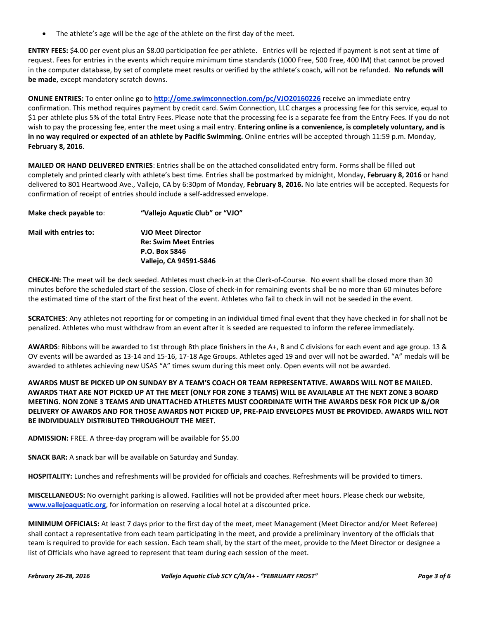The athlete's age will be the age of the athlete on the first day of the meet.

**ENTRY FEES:** \$4.00 per event plus an \$8.00 participation fee per athlete. Entries will be rejected if payment is not sent at time of request. Fees for entries in the events which require minimum time standards (1000 Free, 500 Free, 400 IM) that cannot be proved in the computer database, by set of complete meet results or verified by the athlete's coach, will not be refunded. **No refunds will be made**, except mandatory scratch downs.

**ONLINE ENTRIES:** To enter online go to **<http://ome.swimconnection.com/pc/VJO20160226>** receive an immediate entry confirmation. This method requires payment by credit card. Swim Connection, LLC charges a processing fee for this service, equal to \$1 per athlete plus 5% of the total Entry Fees. Please note that the processing fee is a separate fee from the Entry Fees. If you do not wish to pay the processing fee, enter the meet using a mail entry. **Entering online is a convenience, is completely voluntary, and is in no way required or expected of an athlete by Pacific Swimming.** Online entries will be accepted through 11:59 p.m. Monday, **February 8, 2016**.

**MAILED OR HAND DELIVERED ENTRIES**: Entries shall be on the attached consolidated entry form. Forms shall be filled out completely and printed clearly with athlete's best time. Entries shall be postmarked by midnight, Monday, **February 8, 2016** or hand delivered to 801 Heartwood Ave., Vallejo, CA by 6:30pm of Monday, **February 8, 2016.** No late entries will be accepted. Requests for confirmation of receipt of entries should include a self-addressed envelope.

| Make check payable to: | "Vallejo Aquatic Club" or "VJO" |
|------------------------|---------------------------------|
| Mail with entries to:  | <b>VJO Meet Director</b>        |
|                        | <b>Re: Swim Meet Entries</b>    |
|                        | P.O. Box 5846                   |
|                        | Vallejo, CA 94591-5846          |
|                        |                                 |

**CHECK-IN:** The meet will be deck seeded. Athletes must check-in at the Clerk-of-Course. No event shall be closed more than 30 minutes before the scheduled start of the session. Close of check-in for remaining events shall be no more than 60 minutes before the estimated time of the start of the first heat of the event. Athletes who fail to check in will not be seeded in the event.

**SCRATCHES**: Any athletes not reporting for or competing in an individual timed final event that they have checked in for shall not be penalized. Athletes who must withdraw from an event after it is seeded are requested to inform the referee immediately.

**AWARDS**: Ribbons will be awarded to 1st through 8th place finishers in the A+, B and C divisions for each event and age group. 13 & OV events will be awarded as 13-14 and 15-16, 17-18 Age Groups. Athletes aged 19 and over will not be awarded. "A" medals will be awarded to athletes achieving new USAS "A" times swum during this meet only. Open events will not be awarded.

AWARDS MUST BE PICKED UP ON SUNDAY BY A TEAM'S COACH OR TEAM REPRESENTATIVE. AWARDS WILL NOT BE MAILED. AWARDS THAT ARE NOT PICKED UP AT THE MEET (ONLY FOR ZONE 3 TEAMS) WILL BE AVAILABLE AT THE NEXT ZONE 3 BOARD MEETING. NON ZONE 3 TEAMS AND UNATTACHED ATHLETES MUST COORDINATE WITH THE AWARDS DESK FOR PICK UP &/OR DELIVERY OF AWARDS AND FOR THOSE AWARDS NOT PICKED UP, PRE-PAID ENVELOPES MUST BE PROVIDED. AWARDS WILL NOT **BE INDIVIDUALLY DISTRIBUTED THROUGHOUT THE MEET.**

**ADMISSION:** FREE. A three-day program will be available for \$5.00

**SNACK BAR:** A snack bar will be available on Saturday and Sunday.

**HOSPITALITY:** Lunches and refreshments will be provided for officials and coaches. Refreshments will be provided to timers.

**MISCELLANEOUS:** No overnight parking is allowed. Facilities will not be provided after meet hours. Please check our website, **www.vallejoaquatic.org**, for information on reserving a local hotel at a discounted price.

**MINIMUM OFFICIALS:** At least 7 days prior to the first day of the meet, meet Management (Meet Director and/or Meet Referee) shall contact a representative from each team participating in the meet, and provide a preliminary inventory of the officials that team is required to provide for each session. Each team shall, by the start of the meet, provide to the Meet Director or designee a list of Officials who have agreed to represent that team during each session of the meet.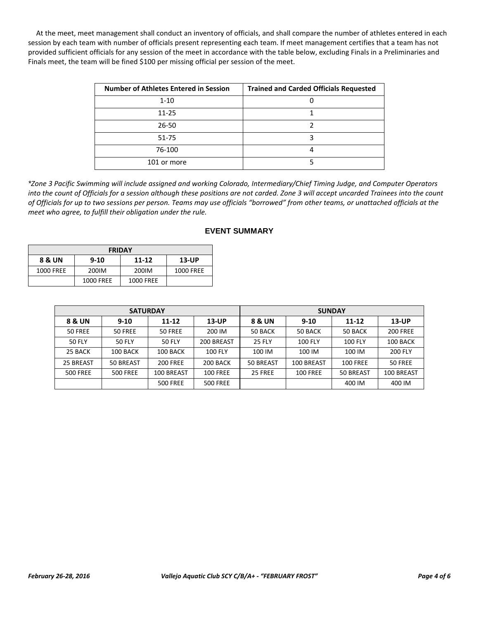At the meet, meet management shall conduct an inventory of officials, and shall compare the number of athletes entered in each session by each team with number of officials present representing each team. If meet management certifies that a team has not provided sufficient officials for any session of the meet in accordance with the table below, excluding Finals in a Preliminaries and Finals meet, the team will be fined \$100 per missing official per session of the meet.

| <b>Number of Athletes Entered in Session</b> | <b>Trained and Carded Officials Requested</b> |
|----------------------------------------------|-----------------------------------------------|
| $1 - 10$                                     |                                               |
| $11 - 25$                                    |                                               |
| $26 - 50$                                    |                                               |
| 51-75                                        |                                               |
| 76-100                                       |                                               |
| 101 or more                                  |                                               |

\*Zone 3 Pacific Swimming will include assigned and working Colorado, Intermediary/Chief Timing Judge, and Computer Operators into the count of Officials for a session although these positions are not carded. Zone 3 will accept uncarded Trainees into the count of Officials for up to two sessions per person. Teams may use officials "borrowed" from other teams, or unattached officials at the *meet who agree, to fulfill their obligation under the rule.*

| <b>FRIDAY</b> |           |                  |           |  |  |  |  |  |  |
|---------------|-----------|------------------|-----------|--|--|--|--|--|--|
| 8 & UN        | $9 - 10$  | $11 - 12$        | $13$ -UP  |  |  |  |  |  |  |
| 1000 FREE     | 200IM     | 200IM            | 1000 FREE |  |  |  |  |  |  |
|               | 1000 FREE | <b>1000 FREE</b> |           |  |  |  |  |  |  |

|                 | <b>SATURDAY</b> |                       |                 | <b>SUNDAY</b>              |                |                 |                 |  |  |
|-----------------|-----------------|-----------------------|-----------------|----------------------------|----------------|-----------------|-----------------|--|--|
| 8 & UN          | $9 - 10$        | $11 - 12$<br>$13$ -UP |                 | 8 & UN                     | $9 - 10$       | $11 - 12$       | $13$ -UP        |  |  |
| 50 FREE         | 50 FREE         | 50 FREE               | 200 IM          | 50 BACK                    | 50 BACK        | 50 BACK         | <b>200 FREE</b> |  |  |
| 50 FLY          | <b>50 FLY</b>   | <b>50 FLY</b>         | 200 BREAST      | <b>25 FLY</b>              | <b>100 FLY</b> | <b>100 FLY</b>  | 100 BACK        |  |  |
| 25 BACK         | 100 BACK        | 100 BACK              | <b>100 FLY</b>  | 100 IM                     | 100 IM         | 100 IM          | <b>200 FLY</b>  |  |  |
| 25 BREAST       | 50 BREAST       | <b>200 FREE</b>       | 200 BACK        | 50 BREAST                  | 100 BREAST     | <b>100 FREE</b> | 50 FREE         |  |  |
| <b>500 FREE</b> | <b>500 FREE</b> | 100 BREAST            | <b>100 FREE</b> | 25 FREE<br><b>100 FREE</b> |                | 50 BREAST       | 100 BREAST      |  |  |
|                 |                 | <b>500 FREE</b>       | <b>500 FREE</b> |                            |                | 400 IM          | 400 IM          |  |  |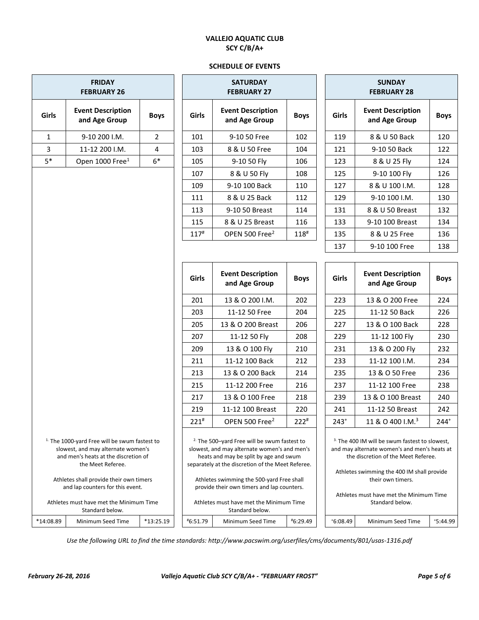# **VALLEJO AQUATIC CLUB SCY C/B/A+**

#### **SCHEDULE OF EVENTS**

|                                                                                                                                                                                                                                                                                       | <b>FRIDAY</b><br><b>FEBRUARY 26</b>       |                |                    | <b>SATURDAY</b><br><b>FEBRUARY 27</b>                                                                                                                                                                                                                                                                                                        |                    | <b>SUNDAY</b><br><b>FEBRUARY 28</b> |                                                                                                                                                                                                                                                                                   |             |  |
|---------------------------------------------------------------------------------------------------------------------------------------------------------------------------------------------------------------------------------------------------------------------------------------|-------------------------------------------|----------------|--------------------|----------------------------------------------------------------------------------------------------------------------------------------------------------------------------------------------------------------------------------------------------------------------------------------------------------------------------------------------|--------------------|-------------------------------------|-----------------------------------------------------------------------------------------------------------------------------------------------------------------------------------------------------------------------------------------------------------------------------------|-------------|--|
| Girls                                                                                                                                                                                                                                                                                 | <b>Event Description</b><br>and Age Group | <b>Boys</b>    | Girls              | <b>Event Description</b><br>and Age Group                                                                                                                                                                                                                                                                                                    | <b>Boys</b>        | Girls                               | <b>Event Description</b><br>and Age Group                                                                                                                                                                                                                                         | <b>Boys</b> |  |
| $\mathbf{1}$                                                                                                                                                                                                                                                                          | 9-10 200 I.M.                             | $\overline{2}$ | 101                | 9-10 50 Free                                                                                                                                                                                                                                                                                                                                 | 102                | 119                                 | 8 & U 50 Back                                                                                                                                                                                                                                                                     | 120         |  |
| 3                                                                                                                                                                                                                                                                                     | 11-12 200 I.M.                            | 4              | 103                | 8 & U 50 Free                                                                                                                                                                                                                                                                                                                                | 104                | 121                                 | 9-10 50 Back                                                                                                                                                                                                                                                                      | 122         |  |
| $5*$                                                                                                                                                                                                                                                                                  | Open 1000 Free <sup>1</sup>               | $6*$           | 105                | 9-10 50 Fly                                                                                                                                                                                                                                                                                                                                  | 106                | 123                                 | 8 & U 25 Fly                                                                                                                                                                                                                                                                      | 124         |  |
|                                                                                                                                                                                                                                                                                       |                                           |                | 107                | 8 & U 50 Fly                                                                                                                                                                                                                                                                                                                                 | 108                | 125                                 | 9-10 100 Fly                                                                                                                                                                                                                                                                      | 126         |  |
|                                                                                                                                                                                                                                                                                       |                                           |                | 109                | 9-10 100 Back                                                                                                                                                                                                                                                                                                                                | 110                | 127                                 | 8 & U 100 I.M.                                                                                                                                                                                                                                                                    | 128         |  |
|                                                                                                                                                                                                                                                                                       |                                           |                | 111                | 8 & U 25 Back                                                                                                                                                                                                                                                                                                                                | 112                | 129                                 | 9-10 100 I.M.                                                                                                                                                                                                                                                                     | 130         |  |
|                                                                                                                                                                                                                                                                                       |                                           |                | 113                | 9-10 50 Breast                                                                                                                                                                                                                                                                                                                               | 114                | 131                                 | 8 & U 50 Breast                                                                                                                                                                                                                                                                   | 132         |  |
|                                                                                                                                                                                                                                                                                       |                                           |                | 115                | 8 & U 25 Breast                                                                                                                                                                                                                                                                                                                              | 116                | 133                                 | 9-10 100 Breast                                                                                                                                                                                                                                                                   | 134         |  |
|                                                                                                                                                                                                                                                                                       |                                           |                | $117^{\rm \#}$     | OPEN 500 Free <sup>2</sup>                                                                                                                                                                                                                                                                                                                   | $118^{#}$          | 135                                 | 8 & U 25 Free                                                                                                                                                                                                                                                                     | 136         |  |
|                                                                                                                                                                                                                                                                                       |                                           |                |                    |                                                                                                                                                                                                                                                                                                                                              |                    | 137                                 | 9-10 100 Free                                                                                                                                                                                                                                                                     | 138         |  |
|                                                                                                                                                                                                                                                                                       |                                           |                |                    |                                                                                                                                                                                                                                                                                                                                              |                    |                                     |                                                                                                                                                                                                                                                                                   |             |  |
|                                                                                                                                                                                                                                                                                       |                                           |                | Girls              | <b>Event Description</b><br>and Age Group                                                                                                                                                                                                                                                                                                    | <b>Boys</b>        | Girls                               | <b>Event Description</b><br>and Age Group                                                                                                                                                                                                                                         | <b>Boys</b> |  |
|                                                                                                                                                                                                                                                                                       |                                           |                | 201                | 13 & O 200 I.M.                                                                                                                                                                                                                                                                                                                              | 202                | 223                                 | 13 & O 200 Free                                                                                                                                                                                                                                                                   | 224         |  |
|                                                                                                                                                                                                                                                                                       |                                           |                | 203                | 11-12 50 Free                                                                                                                                                                                                                                                                                                                                | 204                | 225                                 | 11-12 50 Back                                                                                                                                                                                                                                                                     | 226         |  |
|                                                                                                                                                                                                                                                                                       |                                           |                | 205                | 13 & O 200 Breast                                                                                                                                                                                                                                                                                                                            | 206                | 227                                 | 13 & O 100 Back                                                                                                                                                                                                                                                                   | 228         |  |
|                                                                                                                                                                                                                                                                                       |                                           |                | 207                | 11-12 50 Fly                                                                                                                                                                                                                                                                                                                                 | 208                | 229                                 | 11-12 100 Fly                                                                                                                                                                                                                                                                     | 230         |  |
|                                                                                                                                                                                                                                                                                       |                                           |                | 209                | 13 & O 100 Fly                                                                                                                                                                                                                                                                                                                               | 210                | 231                                 | 13 & O 200 Fly                                                                                                                                                                                                                                                                    | 232         |  |
|                                                                                                                                                                                                                                                                                       |                                           |                | 211                | 11-12 100 Back                                                                                                                                                                                                                                                                                                                               | 212                | 233                                 | 11-12 100 I.M.                                                                                                                                                                                                                                                                    | 234         |  |
|                                                                                                                                                                                                                                                                                       |                                           |                | 213                | 13 & O 200 Back                                                                                                                                                                                                                                                                                                                              | 214                | 235                                 | 13 & O 50 Free                                                                                                                                                                                                                                                                    | 236         |  |
|                                                                                                                                                                                                                                                                                       |                                           |                | 215                | 11-12 200 Free                                                                                                                                                                                                                                                                                                                               | 216                | 237                                 | 11-12 100 Free                                                                                                                                                                                                                                                                    | 238         |  |
|                                                                                                                                                                                                                                                                                       |                                           |                | 217                | 13 & O 100 Free                                                                                                                                                                                                                                                                                                                              | 218                | 239                                 | 13 & O 100 Breast                                                                                                                                                                                                                                                                 | 240         |  |
|                                                                                                                                                                                                                                                                                       |                                           |                | 219                | 11-12 100 Breast                                                                                                                                                                                                                                                                                                                             | 220                | 241                                 | 11-12 50 Breast                                                                                                                                                                                                                                                                   | 242         |  |
|                                                                                                                                                                                                                                                                                       |                                           |                | $221$ <sup>#</sup> | OPEN 500 Free <sup>2</sup>                                                                                                                                                                                                                                                                                                                   | $222$ <sup>#</sup> | $243+$                              | 11 & O 400 I.M. <sup>3</sup>                                                                                                                                                                                                                                                      | $244+$      |  |
| <sup>1.</sup> The 1000-yard Free will be swum fastest to<br>slowest, and may alternate women's<br>and men's heats at the discretion of<br>the Meet Referee.<br>Athletes shall provide their own timers<br>and lap counters for this event.<br>Athletes must have met the Minimum Time |                                           |                |                    | <sup>2.</sup> The 500-yard Free will be swum fastest to<br>slowest, and may alternate women's and men's<br>heats and may be split by age and swum<br>separately at the discretion of the Meet Referee.<br>Athletes swimming the 500-yard Free shall<br>provide their own timers and lap counters.<br>Athletes must have met the Minimum Time |                    |                                     | <sup>3.</sup> The 400 IM will be swum fastest to slowest,<br>and may alternate women's and men's heats at<br>the discretion of the Meet Referee.<br>Athletes swimming the 400 IM shall provide<br>their own timers.<br>Athletes must have met the Minimum Time<br>Standard below. |             |  |
| *14:08.89                                                                                                                                                                                                                                                                             | Standard below.<br>Minimum Seed Time      | $*13:25.19$    | #6:51.79           | Standard below.<br>Minimum Seed Time                                                                                                                                                                                                                                                                                                         | #6:29.49           | $*6:08.49$                          | Minimum Seed Time                                                                                                                                                                                                                                                                 | $*5:44.99$  |  |

*Use the following URL to find the time standards: http://www.pacswim.org/userfiles/cms/documents/801/usas-1316.pdf*